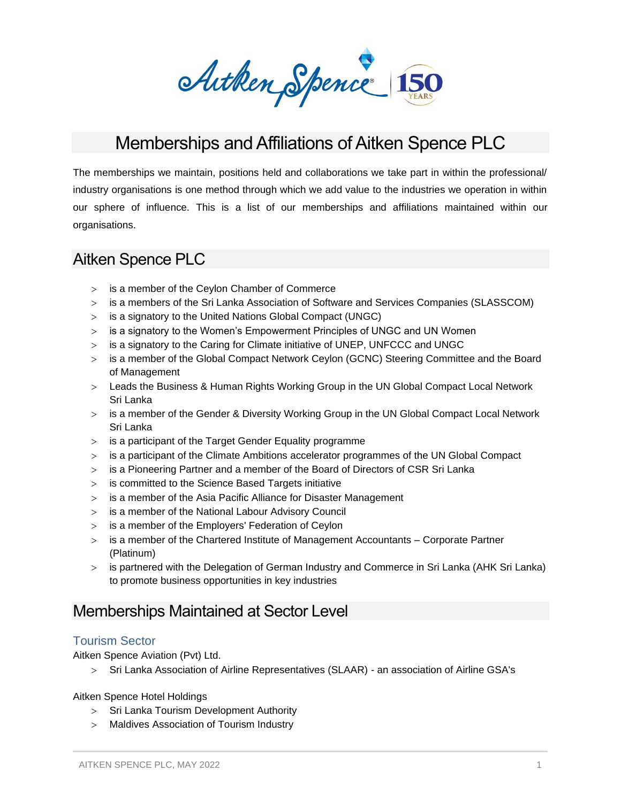Arthen Spence 150

# Memberships and Affiliations of Aitken Spence PLC

The memberships we maintain, positions held and collaborations we take part in within the professional/ industry organisations is one method through which we add value to the industries we operation in within our sphere of influence. This is a list of our memberships and affiliations maintained within our organisations.

## Aitken Spence PLC

- is a member of the Ceylon Chamber of Commerce
- is a members of the Sri Lanka Association of Software and Services Companies (SLASSCOM)
- is a signatory to the United Nations Global Compact (UNGC)
- is a signatory to the Women's Empowerment Principles of UNGC and UN Women
- is a signatory to the Caring for Climate initiative of UNEP, UNFCCC and UNGC
- > is a member of the Global Compact Network Ceylon (GCNC) Steering Committee and the Board of Management
- Leads the Business & Human Rights Working Group in the UN Global Compact Local Network Sri Lanka
- is a member of the Gender & Diversity Working Group in the UN Global Compact Local Network Sri Lanka
- $>$  is a participant of the Target Gender Equality programme
- is a participant of the Climate Ambitions accelerator programmes of the UN Global Compact
- is a Pioneering Partner and a member of the Board of Directors of CSR Sri Lanka
- is committed to the Science Based Targets initiative
- is a member of the Asia Pacific Alliance for Disaster Management
- is a member of the National Labour Advisory Council
- $>$  is a member of the Employers' Federation of Ceylon
- is a member of the Chartered Institute of Management Accountants Corporate Partner (Platinum)
- is partnered with the Delegation of German Industry and Commerce in Sri Lanka (AHK Sri Lanka) to promote business opportunities in key industries

## Memberships Maintained at Sector Level

## Tourism Sector

Aitken Spence Aviation (Pvt) Ltd.

Sri Lanka Association of Airline Representatives (SLAAR) - an association of Airline GSA's

Aitken Spence Hotel Holdings

- > Sri Lanka Tourism Development Authority
- Maldives Association of Tourism Industry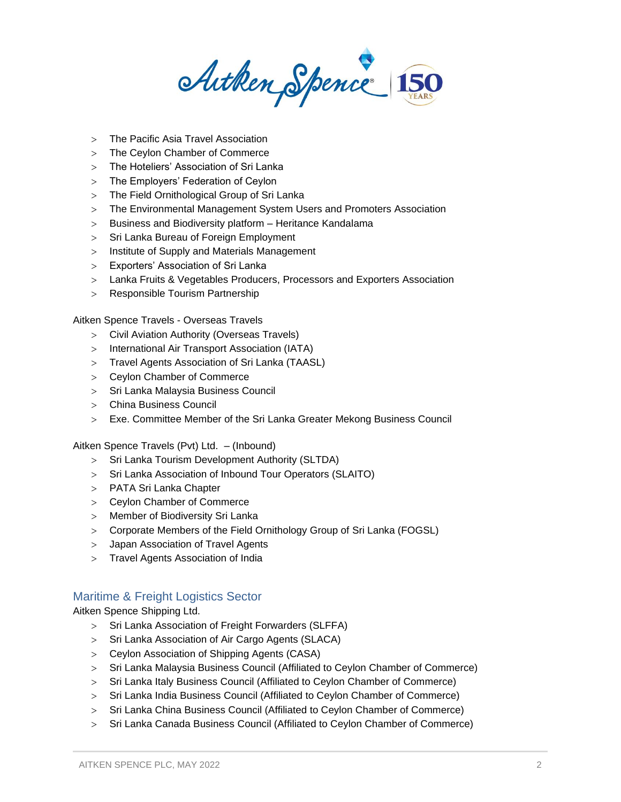Arthen Spence 150

- The Pacific Asia Travel Association
- > The Ceylon Chamber of Commerce
- The Hoteliers' Association of Sri Lanka
- The Employers' Federation of Ceylon
- The Field Ornithological Group of Sri Lanka
- The Environmental Management System Users and Promoters Association
- Business and Biodiversity platform Heritance Kandalama
- > Sri Lanka Bureau of Foreign Employment
- > Institute of Supply and Materials Management
- Exporters' Association of Sri Lanka
- Lanka Fruits & Vegetables Producers, Processors and Exporters Association
- > Responsible Tourism Partnership

Aitken Spence Travels - Overseas Travels

- Civil Aviation Authority (Overseas Travels)
- International Air Transport Association (IATA)
- Travel Agents Association of Sri Lanka (TAASL)
- Ceylon Chamber of Commerce
- Sri Lanka Malaysia Business Council
- China Business Council
- Exe. Committee Member of the Sri Lanka Greater Mekong Business Council

Aitken Spence Travels (Pvt) Ltd. – (Inbound)

- > Sri Lanka Tourism Development Authority (SLTDA)
- > Sri Lanka Association of Inbound Tour Operators (SLAITO)
- PATA Sri Lanka Chapter
- Ceylon Chamber of Commerce
- Member of Biodiversity Sri Lanka
- Corporate Members of the Field Ornithology Group of Sri Lanka (FOGSL)
- Japan Association of Travel Agents
- Travel Agents Association of India

## Maritime & Freight Logistics Sector

Aitken Spence Shipping Ltd.

- > Sri Lanka Association of Freight Forwarders (SLFFA)
- > Sri Lanka Association of Air Cargo Agents (SLACA)
- Ceylon Association of Shipping Agents (CASA)
- Sri Lanka Malaysia Business Council (Affiliated to Ceylon Chamber of Commerce)
- Sri Lanka Italy Business Council (Affiliated to Ceylon Chamber of Commerce)
- > Sri Lanka India Business Council (Affiliated to Ceylon Chamber of Commerce)
- > Sri Lanka China Business Council (Affiliated to Ceylon Chamber of Commerce)
- Sri Lanka Canada Business Council (Affiliated to Ceylon Chamber of Commerce)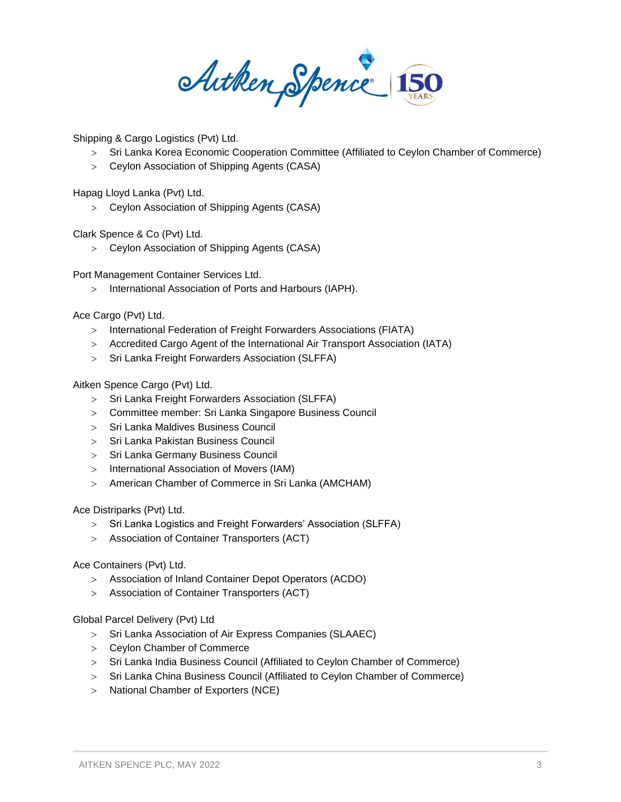Autken Spence 150

Shipping & Cargo Logistics (Pvt) Ltd.

- Sri Lanka Korea Economic Cooperation Committee (Affiliated to Ceylon Chamber of Commerce)
- Ceylon Association of Shipping Agents (CASA)

Hapag Lloyd Lanka (Pvt) Ltd.

Ceylon Association of Shipping Agents (CASA)

Clark Spence & Co (Pvt) Ltd.

Ceylon Association of Shipping Agents (CASA)

Port Management Container Services Ltd.

> International Association of Ports and Harbours (IAPH).

Ace Cargo (Pvt) Ltd.

- > International Federation of Freight Forwarders Associations (FIATA)
- Accredited Cargo Agent of the International Air Transport Association (IATA)
- > Sri Lanka Freight Forwarders Association (SLFFA)

Aitken Spence Cargo (Pvt) Ltd.

- > Sri Lanka Freight Forwarders Association (SLFFA)
- Committee member: Sri Lanka Singapore Business Council
- > Sri Lanka Maldives Business Council
- > Sri Lanka Pakistan Business Council
- > Sri Lanka Germany Business Council
- > International Association of Movers (IAM)
- American Chamber of Commerce in Sri Lanka (AMCHAM)

Ace Distriparks (Pvt) Ltd.

- > Sri Lanka Logistics and Freight Forwarders' Association (SLFFA)
- Association of Container Transporters (ACT)

#### Ace Containers (Pvt) Ltd.

- Association of Inland Container Depot Operators (ACDO)
- Association of Container Transporters (ACT)

Global Parcel Delivery (Pvt) Ltd

- > Sri Lanka Association of Air Express Companies (SLAAEC)
- Ceylon Chamber of Commerce
- > Sri Lanka India Business Council (Affiliated to Ceylon Chamber of Commerce)
- Sri Lanka China Business Council (Affiliated to Ceylon Chamber of Commerce)
- > National Chamber of Exporters (NCE)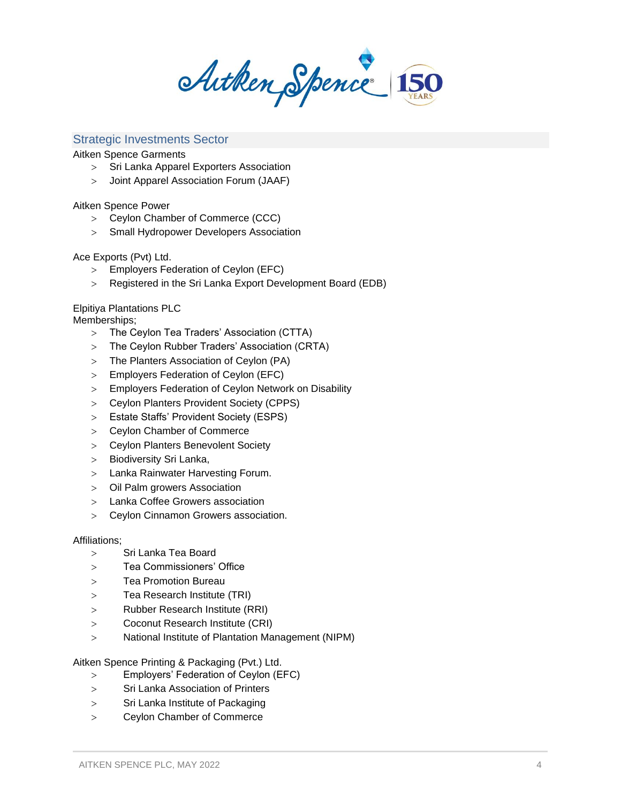Arthen Spence 150

### Strategic Investments Sector

Aitken Spence Garments

- > Sri Lanka Apparel Exporters Association
- Joint Apparel Association Forum (JAAF)

Aitken Spence Power

- Ceylon Chamber of Commerce (CCC)
- Small Hydropower Developers Association

Ace Exports (Pvt) Ltd.

- Employers Federation of Ceylon (EFC)
- Registered in the Sri Lanka Export Development Board (EDB)

#### Elpitiya Plantations PLC

Memberships;

- The Ceylon Tea Traders' Association (CTTA)
- The Ceylon Rubber Traders' Association (CRTA)
- The Planters Association of Ceylon (PA)
- Employers Federation of Ceylon (EFC)
- Employers Federation of Ceylon Network on Disability
- Ceylon Planters Provident Society (CPPS)
- Estate Staffs' Provident Society (ESPS)
- Ceylon Chamber of Commerce
- Ceylon Planters Benevolent Society
- > Biodiversity Sri Lanka,
- Lanka Rainwater Harvesting Forum.
- Oil Palm growers Association
- Lanka Coffee Growers association
- Ceylon Cinnamon Growers association.

#### Affiliations;

- Sri Lanka Tea Board
- Tea Commissioners' Office
- Tea Promotion Bureau
- Tea Research Institute (TRI)
- Rubber Research Institute (RRI)
- Coconut Research Institute (CRI)
- National Institute of Plantation Management (NIPM)

Aitken Spence Printing & Packaging (Pvt.) Ltd.

- Employers' Federation of Ceylon (EFC)
- Sri Lanka Association of Printers
- Sri Lanka Institute of Packaging
- Ceylon Chamber of Commerce